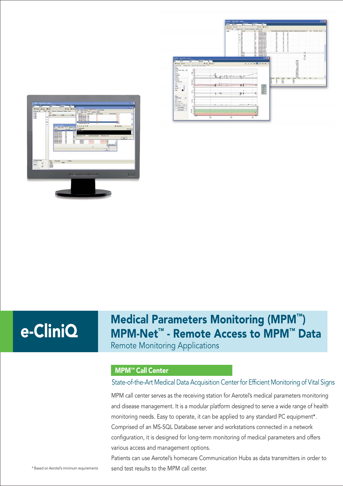



# e-CliniQ

# Medical Parameters Monitoring (MPM™) MPM-Net™ - Remote Access to MPM™ Data

Remote Monitoring Applications

# MPM™ Call Center

## State-of-the-Art Medical Data Acquisition Center for Efficient Monitoring of Vital Signs

MPM call center serves as the receiving station for Aerotel's medical parameters monitoring and disease management. It is a modular platform designed to serve a wide range of health monitoring needs. Easy to operate, it can be applied to any standard PC equipment\*. Comprised of an MS-SQL Database server and workstations connected in a network configuration, it is designed for long-term monitoring of medical parameters and offers various access and management options.

Patients can use Aerotel's homecare Communication Hubs as data transmitters in order to \*Based on Aerotel's minimum requirements send test results to the MPM call center.